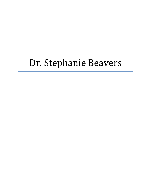# Dr. Stephanie Beavers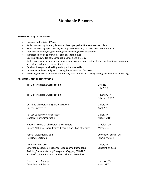# **Stephanie Beavers**

#### SUMMARY OF QUALIFICATIONS

- Licensed in the state of Texas
- Skilled in assessing injuries, illness and developing rehabilitative treatment plans
- Skilled in assessing sport injuries, treating and developing rehabilitative treatment plans
- Proficient in Identifying, performing and correcting fascial distortions
- Increased knowledge of myofascial release techniques
- Beginning knowledge of Mechanical Diagnosis and Therapy
- Skilled in performing, interpreting and creating correctional treatment plans for functional movement screenings and sport movement patterns
- Excellent interpersonal, selling and organizational skills
- Developed and coached group training boot camps and fit classes
- Knowledge of Microsoft PowerPoint, Excel, Word and Access, billing, coding and insurance processing

#### **EDUCATION AND CERTIFICATIONS**\_\_\_\_\_\_\_\_\_\_\_\_\_\_\_\_\_\_\_\_\_\_\_\_\_\_\_\_\_\_\_\_\_\_\_\_\_\_\_\_\_\_\_\_\_\_\_\_\_\_\_\_\_\_\_\_\_\_\_\_\_

| TPI Golf Medical 2 Certification                                                                                                                                                               | <b>ONLINE</b><br><b>July 2019</b> |
|------------------------------------------------------------------------------------------------------------------------------------------------------------------------------------------------|-----------------------------------|
| TPI Golf Medical 1 Certification                                                                                                                                                               | Houston, TX<br>February 2017      |
| Certified Chiropractic Sport Practitioner                                                                                                                                                      | Dallas, TX                        |
| Parker University                                                                                                                                                                              | April 2016                        |
| Parker College of Chiropractic                                                                                                                                                                 | Dallas, TX                        |
| Doctorate of Chiropractic                                                                                                                                                                      | August 2014                       |
| National Board of Chiropractic Examiners                                                                                                                                                       | Greeley, CO                       |
| Passed National Board Exams 1 thru 4 and Physiotherapy                                                                                                                                         | May 2014                          |
| <b>Fascial Distortion Model</b>                                                                                                                                                                | Colorado Springs, CO              |
| <b>Full Body Certified</b>                                                                                                                                                                     | February 2014                     |
| <b>American Red Cross</b><br><b>Emergency Medical Response/Bloodborne Pathogens</b><br>Training/ Administering Emergency Oxygen/CPR-AED<br>For Professional Rescuers and Health Care Providers | Dallas, TX<br>September 2013      |
| North Harris College                                                                                                                                                                           | Houston, TX                       |
| Associate of Science                                                                                                                                                                           | May 1997                          |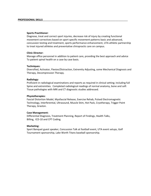#### **Sports Practitioner**:

Diagnose, treat and correct sport injuries, decrease risk of injury by creating functional movement correctives based on sport specific movement patterns basic and advanced, concussion testing and treatment, sports performance enhancement, UTA athletic partnership to treat injured athletes and preventative chiropractic care on campus.

### **Clinic Director:**

Manage office personnel in addition to patient care, providing the best approach and advice To patient spinal health on a case by case basis.

### **Techniques:**

Diversified, Activator, Flexion/Distraction, Extremity Adjusting, some Mechanical Diagnosis and Therapy, Decompression Therapy.

### **Radiology:**

Proficient in radiological examinations and reports as required in clinical setting; including full Spine and extremities. Completed radiological readings of normal anatomy, bone and soft Tissue pathologies with MRI and CT diagnostic studies addressed.

### **Physiotherapies:**

Fascial Distortion Model, Myofascial Release, Exercise Rehab, Pulsed Electromagnetic Technology, Interferential, Ultrasound, Muscle Stim, Hot Pack, Cryotherapy, Trigger Point Therapy, Graston.

#### **Case Management:**

Differential Diagnosis, Treatment Planning, Report of Findings, Health Talks, Billing, ICD-10 and CPT Coding.

## **Marketing:**

Sport Banquet guest speaker, Concussion Talk at football event, UTA event setups, Golf Tournament sponsorship, Lake Worth Titans baseball sponsorship.